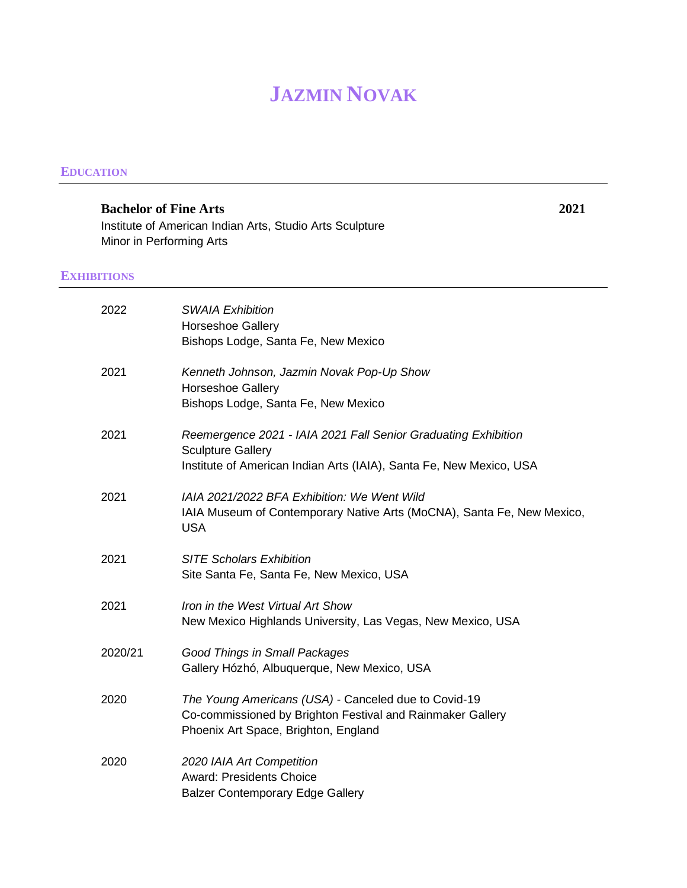# **JAZMIN NOVAK**

#### **EDUCATION**

**Bachelor of Fine Arts 2021** Institute of American Indian Arts, Studio Arts Sculpture Minor in Performing Arts

## **EXHIBITIONS**

| 2022    | <b>SWAIA Exhibition</b><br><b>Horseshoe Gallery</b><br>Bishops Lodge, Santa Fe, New Mexico                                                                        |
|---------|-------------------------------------------------------------------------------------------------------------------------------------------------------------------|
| 2021    | Kenneth Johnson, Jazmin Novak Pop-Up Show<br><b>Horseshoe Gallery</b><br>Bishops Lodge, Santa Fe, New Mexico                                                      |
| 2021    | Reemergence 2021 - IAIA 2021 Fall Senior Graduating Exhibition<br><b>Sculpture Gallery</b><br>Institute of American Indian Arts (IAIA), Santa Fe, New Mexico, USA |
| 2021    | IAIA 2021/2022 BFA Exhibition: We Went Wild<br>IAIA Museum of Contemporary Native Arts (MoCNA), Santa Fe, New Mexico,<br><b>USA</b>                               |
| 2021    | <b>SITE Scholars Exhibition</b><br>Site Santa Fe, Santa Fe, New Mexico, USA                                                                                       |
| 2021    | Iron in the West Virtual Art Show<br>New Mexico Highlands University, Las Vegas, New Mexico, USA                                                                  |
| 2020/21 | Good Things in Small Packages<br>Gallery Hózhó, Albuquerque, New Mexico, USA                                                                                      |
| 2020    | The Young Americans (USA) - Canceled due to Covid-19<br>Co-commissioned by Brighton Festival and Rainmaker Gallery<br>Phoenix Art Space, Brighton, England        |
| 2020    | 2020 IAIA Art Competition<br><b>Award: Presidents Choice</b><br><b>Balzer Contemporary Edge Gallery</b>                                                           |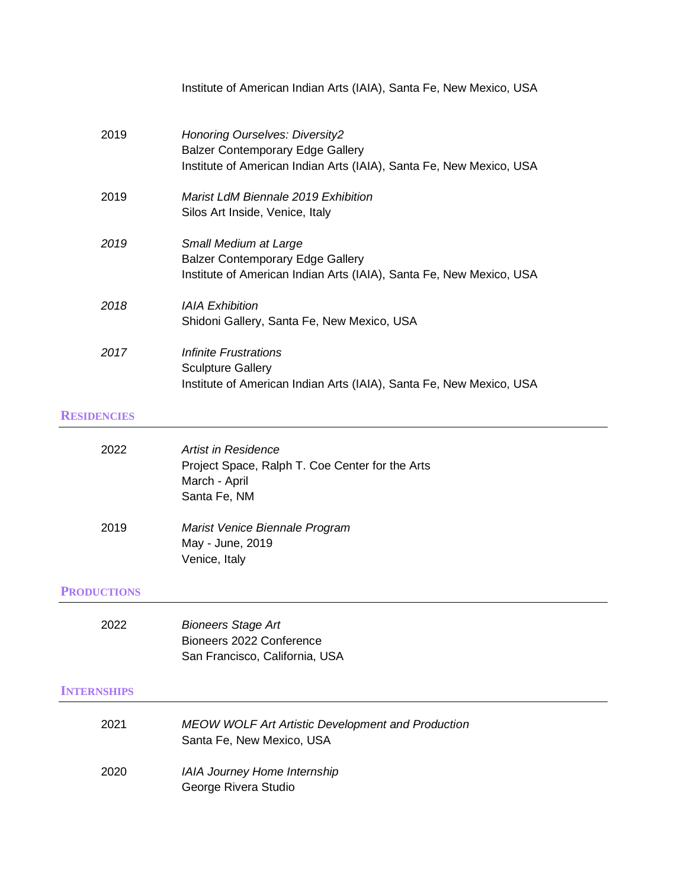|                    | Institute of American Indian Arts (IAIA), Santa Fe, New Mexico, USA                                                                              |
|--------------------|--------------------------------------------------------------------------------------------------------------------------------------------------|
| 2019               | Honoring Ourselves: Diversity2<br><b>Balzer Contemporary Edge Gallery</b><br>Institute of American Indian Arts (IAIA), Santa Fe, New Mexico, USA |
| 2019               | Marist LdM Biennale 2019 Exhibition<br>Silos Art Inside, Venice, Italy                                                                           |
| 2019               | Small Medium at Large<br><b>Balzer Contemporary Edge Gallery</b><br>Institute of American Indian Arts (IAIA), Santa Fe, New Mexico, USA          |
| 2018               | <b>IAIA Exhibition</b><br>Shidoni Gallery, Santa Fe, New Mexico, USA                                                                             |
| 2017               | Infinite Frustrations<br><b>Sculpture Gallery</b><br>Institute of American Indian Arts (IAIA), Santa Fe, New Mexico, USA                         |
| <b>RESIDENCIES</b> |                                                                                                                                                  |
| 2022               | <b>Artist in Residence</b><br>Project Space, Ralph T. Coe Center for the Arts<br>March - April<br>Santa Fe, NM                                   |

2019 *Marist Venice Biennale Program* May - June, 2019 Venice, Italy

# **PRODUCTIONS**

| <b>Bioneers Stage Art</b>      |
|--------------------------------|
| Bioneers 2022 Conference       |
| San Francisco, California, USA |
|                                |

### **INTERNSHIPS**

| 2021 | <b>MEOW WOLF Art Artistic Development and Production</b><br>Santa Fe. New Mexico, USA |
|------|---------------------------------------------------------------------------------------|
| 2020 | <b>IAIA Journey Home Internship</b><br>George Rivera Studio                           |